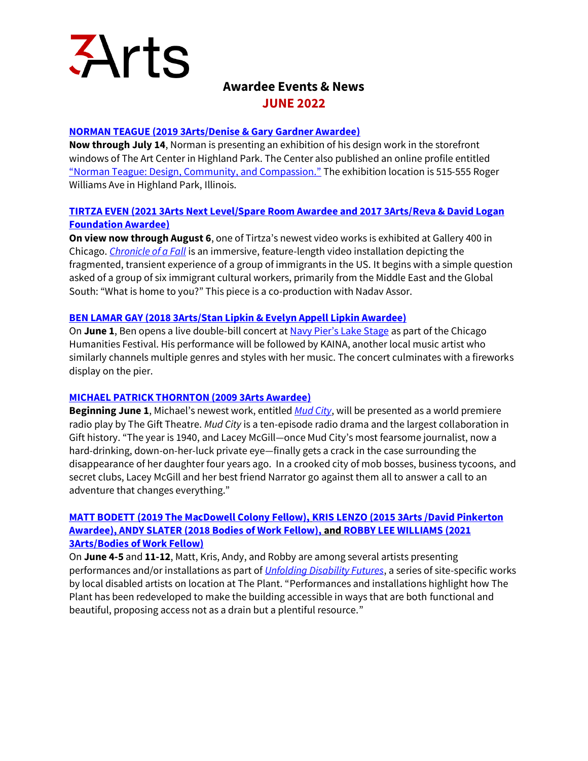

# **Awardee Events & News JUNE 2022**

## **[NORMAN TEAGUE \(2019 3Arts/Denise & Gary Gardner Awardee\)](https://3arts.org/artist/norman-teague/)**

**Now through July 14**, Norman is presenting an exhibition of his design work in the storefront windows of The Art Center in Highland Park. The Center also published an online profile entitled ["Norman Teague: Design, Community, and Compassion."](https://theartcenterhp.org/norman-teague/) The exhibition location is 515-555 Roger Williams Ave in Highland Park, Illinois.

## **[TIRTZA EVEN \(2021 3Arts Next Level/Spare Room Awardee and 2017 3Arts/Reva & David Logan](https://3arts.org/artist/tirtza-even/)  [Foundation Awardee\)](https://3arts.org/artist/tirtza-even/)**

**On view now through August 6**, one of Tirtza's newest video works is exhibited at Gallery 400 in Chicago. *[Chronicle of a Fall](https://gallery400.uic.edu/exhibition/chronicle-of-a-fall/)* is an immersive, feature-length video installation depicting the fragmented, transient experience of a group of immigrants in the US. It begins with a simple question asked of a group of six immigrant cultural workers, primarily from the Middle East and the Global South: "What is home to you?" This piece is a co-production with Nadav Assor.

## **[BEN LAMAR GAY \(2018 3Arts/Stan Lipkin & Evelyn Appell Lipkin Awardee\)](https://3arts.org/artist/ben-lamar-gay/)**

On **June 1**, Ben opens a live double-bill concert at [Navy Pier's Lake Stage](https://www.chicagohumanities.org/events/kaina-ben-lamar-gay/) as part of the Chicago Humanities Festival. His performance will be followed by KAINA, another local music artist who similarly channels multiple genres and styles with her music. The concert culminates with a fireworks display on the pier.

## **[MICHAEL PATRICK THORNTON \(2009 3Arts Awardee\)](https://3arts.org/artist/michael-patrick-thornton/)**

**Beginning June 1**, Michael's newest work, entitled *[Mud City](https://thegifttheatre.org/shows-events/pandemic-radio-network)*, will be presented as a world premiere radio play by The Gift Theatre. *Mud City* is a ten-episode radio drama and the largest collaboration in Gift history. "The year is 1940, and Lacey McGill—once Mud City's most fearsome journalist, now a hard-drinking, down-on-her-luck private eye—finally gets a crack in the case surrounding the disappearance of her daughter four years ago. In a crooked city of mob bosses, business tycoons, and secret clubs, Lacey McGill and her best friend Narrator go against them all to answer a call to an adventure that changes everything."

## **[MATT BODETT \(2019 The MacDowell Colony Fellow\),](https://3arts.org/artist/matt-bodett/) [KRIS LENZO \(2015 3Arts /David Pinkerton](https://3arts.org/artist/kris-lenzo/)  [Awardee\),](https://3arts.org/artist/kris-lenzo/) [ANDY SLATER \(2018 Bodies of Work Fellow\),](https://3arts.org/artist/andy-slater/) and [ROBBY LEE WILLIAMS \(2021](https://3arts.org/artist/robby-williams/)  [3Arts/Bodies of Work Fellow\)](https://3arts.org/artist/robby-williams/)**

On **June 4-5** and **11-12**, Matt, Kris, Andy, and Robby are among several artists presenting performances and/or installations as part of *[Unfolding Disability Futures](https://www.unfoldingdisabilityfutures.com/home)*, a series of site-specific works by local disabled artists on location at The Plant. "Performances and installations highlight how The Plant has been redeveloped to make the building accessible in ways that are both functional and beautiful, proposing access not as a drain but a plentiful resource."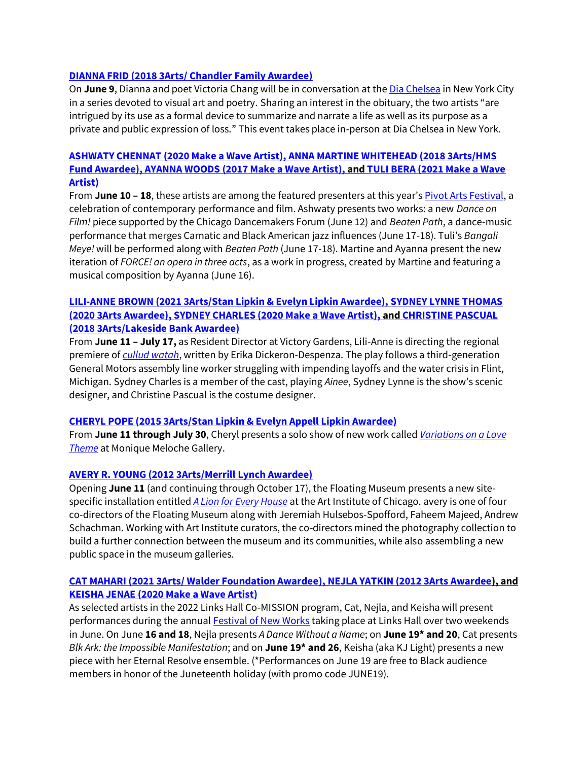#### **[DIANNA FRID \(2018 3Arts/ Chandler Family Awardee\)](https://3arts.org/artist/dianna-frid/)**

On **June 9**, Dianna and poet Victoria Chang will be in conversation at th[e Dia Chelsea](https://www.diaart.org/program/calendar/poetry-2022-4-with-victoria-chang-and-dianna-frid-poetry-reading-2022-06-09) in New York City in a series devoted to visual art and poetry. Sharing an interest in the obituary, the two artists "are intrigued by its use as a formal device to summarize and narrate a life as well as its purpose as a private and public expression of loss." This event takes place in-person at Dia Chelsea in New York.

## **[ASHWATY CHENNAT \(2020 Make a Wave Artist\),](https://3arts.org/artist/ashwaty-chennat/) [ANNA MARTINE WHITEHEAD \(2018 3Arts/HMS](https://3arts.org/artist/anna-martine-whitehead/)  [Fund Awardee\),](https://3arts.org/artist/anna-martine-whitehead/) [AYANNA WOODS \(2017 Make a Wave Artist\),](https://3arts.org/artist/Ayanna-Woods/) an[d TULI BERA \(2021 Make a Wave](https://3arts.org/artist/tuli-bera/)  [Artist\)](https://3arts.org/artist/tuli-bera/)**

From **June 10 – 18**, these artists are among the featured presenters at this year's [Pivot Arts Festival,](https://pivotarts.org/festival/) a celebration of contemporary performance and film. Ashwaty presents two works: a new *Dance on Film!* piece supported by the Chicago Dancemakers Forum (June 12) and *Beaten Path*, a dance-music performance that merges Carnatic and Black American jazz influences (June 17-18). Tuli's *Bangali Meye!* will be performed along with *Beaten Path* (June 17-18). Martine and Ayanna present the new iteration of *FORCE! an opera in three acts*, as a work in progress, created by Martine and featuring a musical composition by Ayanna (June 16).

## **[LILI-ANNE BROWN \(2021 3Arts/Stan Lipkin & Evelyn Lipkin Awardee\),](https://3arts.org/artist/Lili-Anne-Brown/) [SYDNEY LYNNE THOMAS](https://3arts.org/artist/sydney-lynne-thomas/)  [\(2020 3Arts Awardee\),](https://3arts.org/artist/sydney-lynne-thomas/) [SYDNEY CHARLES \(2020 Make a Wave Artist\),](https://3arts.org/artist/sydney-charles/) an[d CHRISTINE PASCUAL](https://3arts.org/artist/christine-pascual/)  [\(2018 3Arts/Lakeside Bank Awardee\)](https://3arts.org/artist/christine-pascual/)**

From **June 11 – July 17,** as Resident Director at Victory Gardens, Lili-Anne is directing the regional premiere of *[cullud watah](https://victorygardens.org/event/cullud-wattah/)*, written by Erika Dickeron-Despenza. The play follows a third-generation General Motors assembly line worker struggling with impending layoffs and the water crisis in Flint, Michigan. Sydney Charles is a member of the cast, playing *Ainee*, Sydney Lynne is the show's scenic designer, and Christine Pascual is the costume designer.

## **[CHERYL POPE \(2015 3Arts/Stan Lipkin & Evelyn Appell Lipkin Awardee\)](https://3arts.org/artist/cheryl-pope/)**

From **June 11 through July 30**, Cheryl presents a solo show of new work called *[Variations on a Love](https://www.moniquemeloche.com/exhibitions/forthcoming/)  [Theme](https://www.moniquemeloche.com/exhibitions/forthcoming/)* at Monique Meloche Gallery.

## **[AVERY R. YOUNG \(2012 3Arts/Merrill Lynch Awardee\)](https://3arts.org/artist/avery-young/)**

Opening **June 11** (and continuing through October 17), the Floating Museum presents a new sitespecific installation entitled *[A Lion for Every House](https://www.artic.edu/exhibitions/9780/floating-museum-a-lion-for-every-house?fbclid=IwAR1VtUsIOHdoPN-c4Sz-32NVHKSBp6sfcxmH7QDFDwXOc4x3kR7rOpgcBdY)* at the Art Institute of Chicago. avery is one of four co-directors of the Floating Museum along with Jeremiah Hulsebos-Spofford, Faheem Majeed, Andrew Schachman. Working with Art Institute curators, the co-directors mined the photography collection to build a further connection between the museum and its communities, while also assembling a new public space in the museum galleries.

## **CAT MAHARI [\(2021 3Arts/ Walder Foundation Awardee\),](https://3arts.org/artist/cat-mahari/) NEJLA YATKIN [\(2012 3Arts Awardee\)](https://3arts.org/artist/nejla-yatkin/), and KEISHA JENAE [\(2020 Make a Wave Artist\)](https://3arts.org/artist/keisha-janae/)**

As selected artists in the 2022 Links Hall Co-MISSION program, Cat, Nejla, and Keisha will present performances during the annual [Festival of New Works](https://linkshall.org/2022-co-mission-festival-of-new-works/) taking place at Links Hall over two weekends in June. On June **16 and 18**, Nejla presents *A Dance Without a Name*; on **June 19\* and 20**, Cat presents *Blk Ark: the Impossible Manifestation*; and on **June 19\* and 26**, Keisha (aka KJ Light) presents a new piece with her Eternal Resolve ensemble. (\*Performances on June 19 are free to Black audience members in honor of the Juneteenth holiday (with promo code JUNE19).